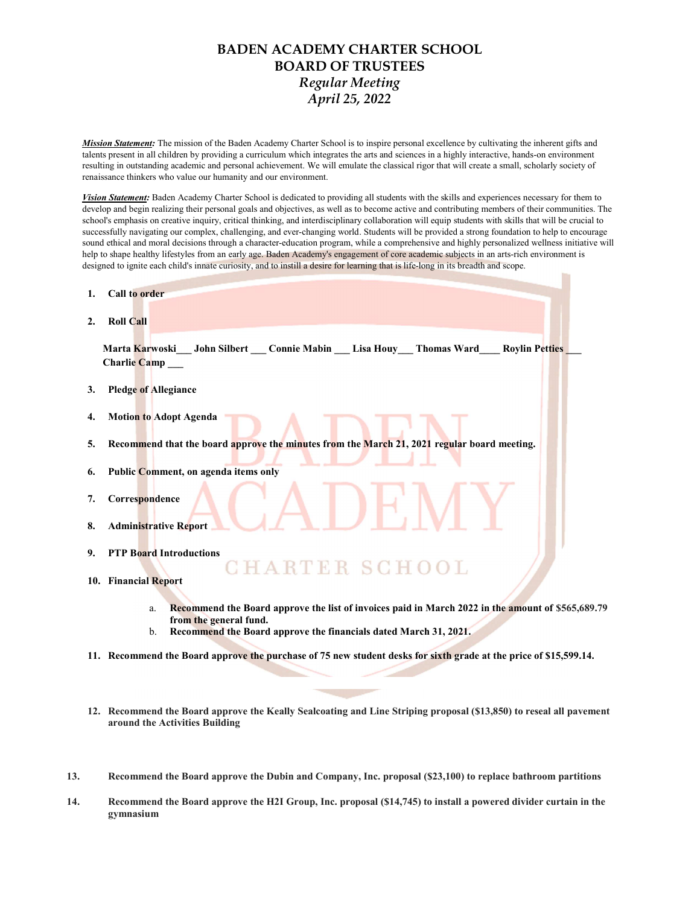## BADEN ACADEMY CHARTER SCHOOL BOARD OF TRUSTEES Regular Meeting April 25, 2022

Mission Statement: The mission of the Baden Academy Charter School is to inspire personal excellence by cultivating the inherent gifts and talents present in all children by providing a curriculum which integrates the arts and sciences in a highly interactive, hands-on environment resulting in outstanding academic and personal achievement. We will emulate the classical rigor that will create a small, scholarly society of renaissance thinkers who value our humanity and our environment.

Vision Statement: Baden Academy Charter School is dedicated to providing all students with the skills and experiences necessary for them to develop and begin realizing their personal goals and objectives, as well as to become active and contributing members of their communities. The school's emphasis on creative inquiry, critical thinking, and interdisciplinary collaboration will equip students with skills that will be crucial to successfully navigating our complex, challenging, and ever-changing world. Students will be provided a strong foundation to help to encourage sound ethical and moral decisions through a character-education program, while a comprehensive and highly personalized wellness initiative will help to shape healthy lifestyles from an early age. Baden Academy's engagement of core academic subjects in an arts-rich environment is designed to ignite each child's innate curiosity, and to instill a desire for learning that is life-long in its breadth and scope.

- 1. Call to order
- 2. Roll Call

Marta Karwoski John Silbert Connie Mabin Lisa Houy Thomas Ward Roylin Petties Charlie Camp\_

- 3. Pledge of Allegiance
- 4. Motion to Adopt Agenda
- 5. Recommend that the board approve the minutes from the March 21, 2021 regular board meeting.
- 6. Public Comment, on agenda items only
- 7. Correspondence
- 8. Administrative Report
- 9. PTP Board Introductions
- ARTER SCHOOL 10. Financial Report
	- a. Recommend the Board approve the list of invoices paid in March 2022 in the amount of \$565,689.79 from the general fund.
	- b. Recommend the Board approve the financials dated March 31, 2021.
- 11. Recommend the Board approve the purchase of 75 new student desks for sixth grade at the price of \$15,599.14.
- 12. Recommend the Board approve the Keally Sealcoating and Line Striping proposal (\$13,850) to reseal all pavement around the Activities Building
- 13. Recommend the Board approve the Dubin and Company, Inc. proposal (\$23,100) to replace bathroom partitions
- 14. Recommend the Board approve the H2I Group, Inc. proposal (\$14,745) to install a powered divider curtain in the gymnasium